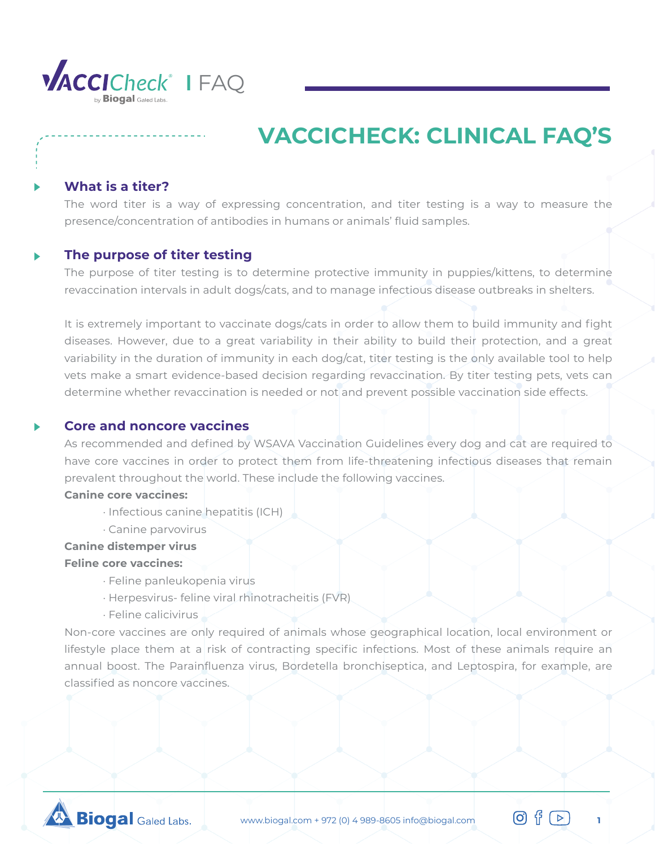

## **What is a titer?**

The word titer is a way of expressing concentration, and titer testing is a way to measure the presence/concentration of antibodies in humans or animals' fluid samples.

### **The purpose of titer testing**

The purpose of titer testing is to determine protective immunity in puppies/kittens, to determine revaccination intervals in adult dogs/cats, and to manage infectious disease outbreaks in shelters.

It is extremely important to vaccinate dogs/cats in order to allow them to build immunity and fight diseases. However, due to a great variability in their ability to build their protection, and a great variability in the duration of immunity in each dog/cat, titer testing is the only available tool to help vets make a smart evidence-based decision regarding revaccination. By titer testing pets, vets can determine whether revaccination is needed or not and prevent possible vaccination side effects.

## **Core and noncore vaccines**

As recommended and defined by WSAVA Vaccination Guidelines every dog and cat are required to have core vaccines in order to protect them from life-threatening infectious diseases that remain prevalent throughout the world. These include the following vaccines.

#### **Canine core vaccines:**

- · Infectious canine hepatitis (ICH)
- · Canine parvovirus
- **Canine distemper virus**

### **Feline core vaccines:**

- · Feline panleukopenia virus
- · Herpesvirus- feline viral rhinotracheitis (FVR)
- · Feline calicivirus

Non-core vaccines are only required of animals whose geographical location, local environment or lifestyle place them at a risk of contracting specific infections. Most of these animals require an annual boost. The Parainfluenza virus, Bordetella bronchiseptica, and Leptospira, for example, are classified as noncore vaccines.

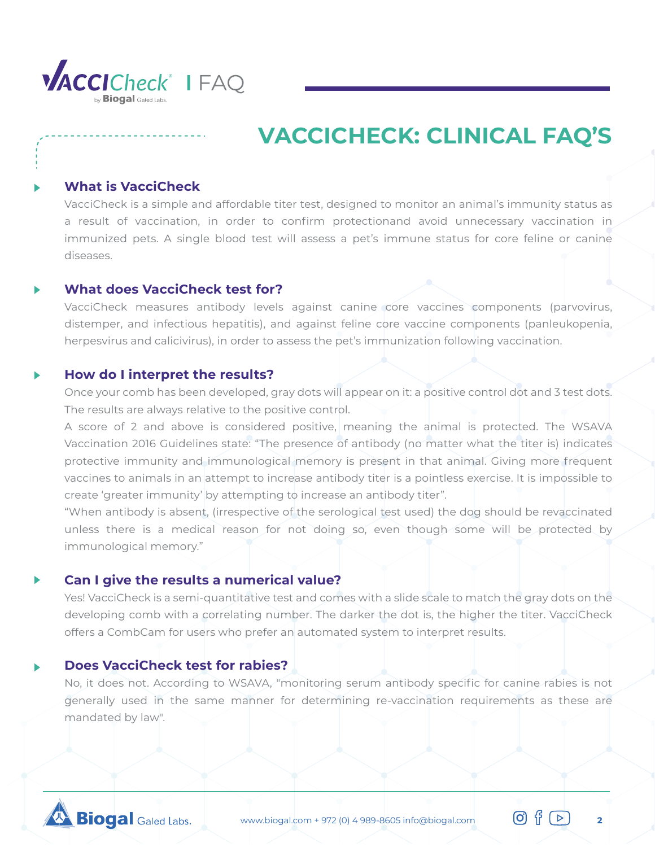

## **What is VacciCheck**

VacciCheck is a simple and affordable titer test, designed to monitor an animal's immunity status as a result of vaccination, in order to confirm protectionand avoid unnecessary vaccination in immunized pets. A single blood test will assess a pet's immune status for core feline or canine diseases.

### **What does VacciCheck test for?**

VacciCheck measures antibody levels against canine core vaccines components (parvovirus, distemper, and infectious hepatitis), and against feline core vaccine components (panleukopenia, herpesvirus and calicivirus), in order to assess the pet's immunization following vaccination.

#### **How do I interpret the results?**

Once your comb has been developed, gray dots will appear on it: a positive control dot and 3 test dots. The results are always relative to the positive control.

A score of 2 and above is considered positive, meaning the animal is protected. The WSAVA Vaccination 2016 Guidelines state: "The presence of antibody (no matter what the titer is) indicates protective immunity and immunological memory is present in that animal. Giving more frequent vaccines to animals in an attempt to increase antibody titer is a pointless exercise. It is impossible to create 'greater immunity' by attempting to increase an antibody titer".

"When antibody is absent, (irrespective of the serological test used) the dog should be revaccinated unless there is a medical reason for not doing so, even though some will be protected by immunological memory."

### **Can I give the results a numerical value?**

Yes! VacciCheck is a semi-quantitative test and comes with a slide scale to match the gray dots on the developing comb with a correlating number. The darker the dot is, the higher the titer. VacciCheck offers a CombCam for users who prefer an automated system to interpret results.

## **Does VacciCheck test for rabies?**

No, it does not. According to WSAVA, "monitoring serum antibody specific for canine rabies is not generally used in the same manner for determining re-vaccination requirements as these are mandated by law".

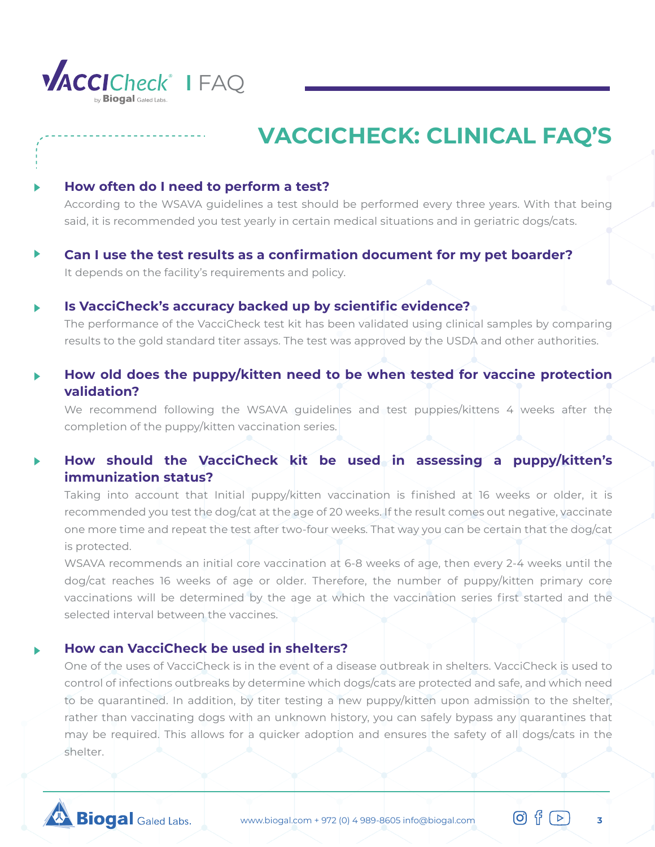

## **How often do I need to perform a test?**

According to the WSAVA guidelines a test should be performed every three years. With that being said, it is recommended you test yearly in certain medical situations and in geriatric dogs/cats.

**Can I use the test results as a confirmation document for my pet boarder?** It depends on the facility's requirements and policy.

## **Is VacciCheck's accuracy backed up by scientific evidence?**

The performance of the VacciCheck test kit has been validated using clinical samples by comparing results to the gold standard titer assays. The test was approved by the USDA and other authorities.

# **How old does the puppy/kitten need to be when tested for vaccine protection validation?**

We recommend following the WSAVA guidelines and test puppies/kittens 4 weeks after the completion of the puppy/kitten vaccination series.

# **How should the VacciCheck kit be used in assessing a puppy/kitten's immunization status?**

Taking into account that Initial puppy/kitten vaccination is finished at 16 weeks or older, it is recommended you test the dog/cat at the age of 20 weeks. If the result comes out negative, vaccinate one more time and repeat the test after two-four weeks. That way you can be certain that the dog/cat is protected.

WSAVA recommends an initial core vaccination at 6-8 weeks of age, then every 2-4 weeks until the dog/cat reaches 16 weeks of age or older. Therefore, the number of puppy/kitten primary core vaccinations will be determined by the age at which the vaccination series first started and the selected interval between the vaccines.

## **How can VacciCheck be used in shelters?**

One of the uses of VacciCheck is in the event of a disease outbreak in shelters. VacciCheck is used to control of infections outbreaks by determine which dogs/cats are protected and safe, and which need to be quarantined. In addition, by titer testing a new puppy/kitten upon admission to the shelter, rather than vaccinating dogs with an unknown history, you can safely bypass any quarantines that may be required. This allows for a quicker adoption and ensures the safety of all dogs/cats in the shelter.

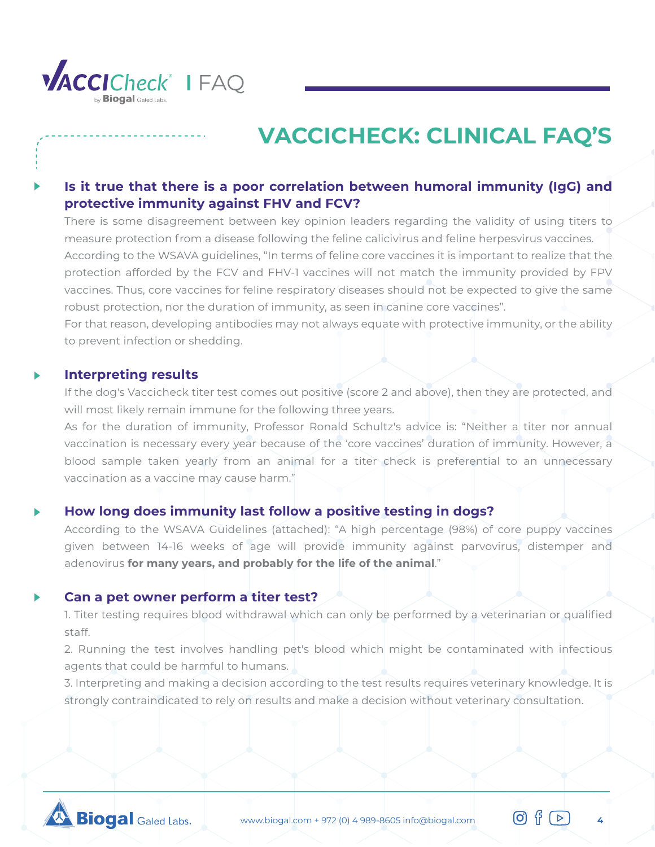

# **Is it true that there is a poor correlation between humoral immunity (IgG) and protective immunity against FHV and FCV?**

There is some disagreement between key opinion leaders regarding the validity of using titers to measure protection from a disease following the feline calicivirus and feline herpesvirus vaccines. According to the WSAVA guidelines, "In terms of feline core vaccines it is important to realize that the protection afforded by the FCV and FHV-1 vaccines will not match the immunity provided by FPV vaccines. Thus, core vaccines for feline respiratory diseases should not be expected to give the same robust protection, nor the duration of immunity, as seen in canine core vaccines".

For that reason, developing antibodies may not always equate with protective immunity, or the ability to prevent infection or shedding.

#### **Interpreting results**

If the dog's Vaccicheck titer test comes out positive (score 2 and above), then they are protected, and will most likely remain immune for the following three years.

As for the duration of immunity, Professor Ronald Schultz's advice is: "Neither a titer nor annual vaccination is necessary every year because of the 'core vaccines' duration of immunity. However, a blood sample taken yearly from an animal for a titer check is preferential to an unnecessary vaccination as a vaccine may cause harm."

## **How long does immunity last follow a positive testing in dogs?**

According to the WSAVA Guidelines (attached): "A high percentage (98%) of core puppy vaccines given between 14-16 weeks of age will provide immunity against parvovirus, distemper and adenovirus **for many years, and probably for the life of the animal**."

### **Can a pet owner perform a titer test?**

1. Titer testing requires blood withdrawal which can only be performed by a veterinarian or qualified staff.

2. Running the test involves handling pet's blood which might be contaminated with infectious agents that could be harmful to humans.

3. Interpreting and making a decision according to the test results requires veterinary knowledge. It is strongly contraindicated to rely on results and make a decision without veterinary consultation.

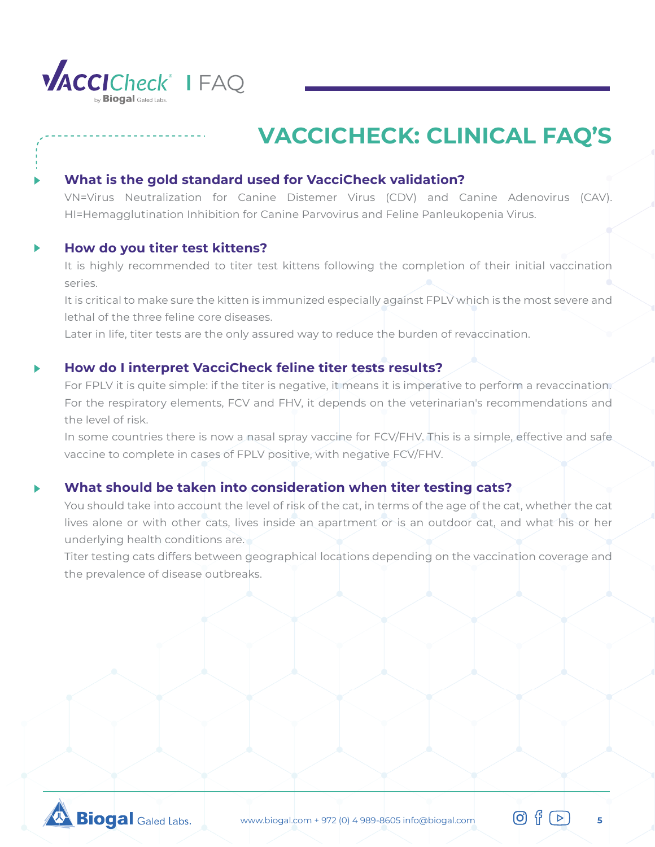

## **What is the gold standard used for VacciCheck validation?**

VN=Virus Neutralization for Canine Distemer Virus (CDV) and Canine Adenovirus (CAV). HI=Hemagglutination Inhibition for Canine Parvovirus and Feline Panleukopenia Virus.

## **How do you titer test kittens?**

It is highly recommended to titer test kittens following the completion of their initial vaccination series.

It is critical to make sure the kitten is immunized especially against FPLV which is the most severe and lethal of the three feline core diseases.

Later in life, titer tests are the only assured way to reduce the burden of revaccination.

## **How do I interpret VacciCheck feline titer tests results?**

For FPLV it is quite simple: if the titer is negative, it means it is imperative to perform a revaccination. For the respiratory elements, FCV and FHV, it depends on the veterinarian's recommendations and the level of risk.

In some countries there is now a nasal spray vaccine for FCV/FHV. This is a simple, effective and safe. vaccine to complete in cases of FPLV positive, with negative FCV/FHV.

# **What should be taken into consideration when titer testing cats?**

You should take into account the level of risk of the cat, in terms of the age of the cat, whether the cat lives alone or with other cats, lives inside an apartment or is an outdoor cat, and what his or her underlying health conditions are.

Titer testing cats differs between geographical locations depending on the vaccination coverage and the prevalence of disease outbreaks.